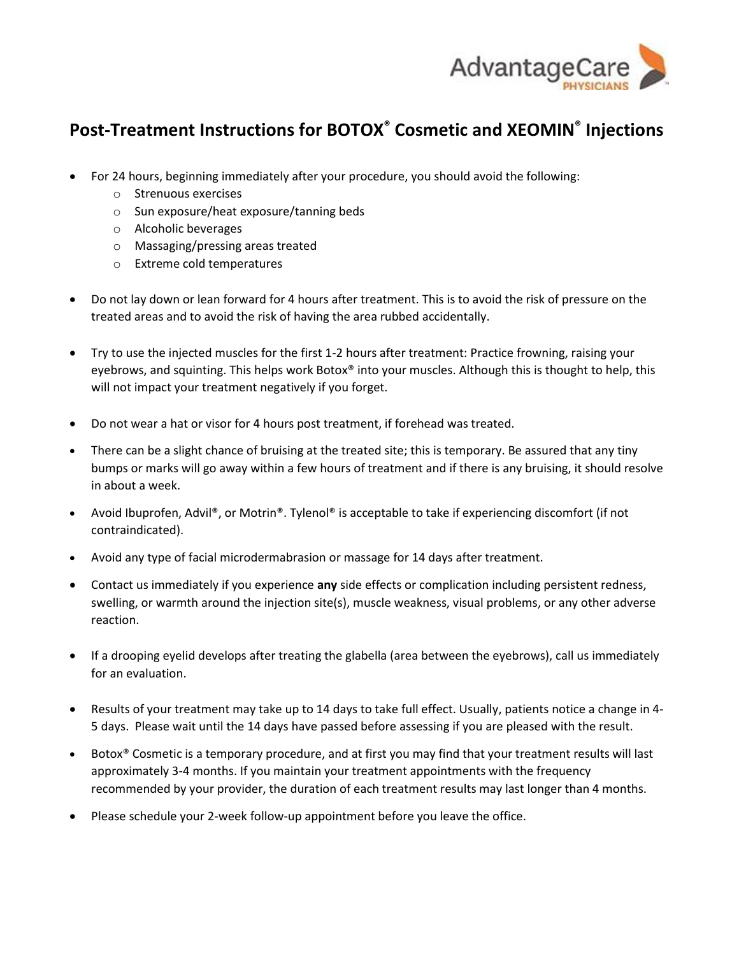

## **Post-Treatment Instructions for BOTOX® Cosmetic and XEOMIN® Injections**

- For 24 hours, beginning immediately after your procedure, you should avoid the following:
	- o Strenuous exercises
	- o Sun exposure/heat exposure/tanning beds
	- o Alcoholic beverages
	- o Massaging/pressing areas treated
	- o Extreme cold temperatures
- Do not lay down or lean forward for 4 hours after treatment. This is to avoid the risk of pressure on the treated areas and to avoid the risk of having the area rubbed accidentally.
- Try to use the injected muscles for the first 1-2 hours after treatment: Practice frowning, raising your eyebrows, and squinting. This helps work Botox® into your muscles. Although this is thought to help, this will not impact your treatment negatively if you forget.
- Do not wear a hat or visor for 4 hours post treatment, if forehead was treated.
- There can be a slight chance of bruising at the treated site; this is temporary. Be assured that any tiny bumps or marks will go away within a few hours of treatment and if there is any bruising, it should resolve in about a week.
- Avoid Ibuprofen, Advil®, or Motrin®. Tylenol® is acceptable to take if experiencing discomfort (if not contraindicated).
- Avoid any type of facial microdermabrasion or massage for 14 days after treatment.
- Contact us immediately if you experience **any** side effects or complication including persistent redness, swelling, or warmth around the injection site(s), muscle weakness, visual problems, or any other adverse reaction.
- If a drooping eyelid develops after treating the glabella (area between the eyebrows), call us immediately for an evaluation.
- Results of your treatment may take up to 14 days to take full effect. Usually, patients notice a change in 4- 5 days. Please wait until the 14 days have passed before assessing if you are pleased with the result.
- Botox<sup>®</sup> Cosmetic is a temporary procedure, and at first you may find that your treatment results will last approximately 3-4 months. If you maintain your treatment appointments with the frequency recommended by your provider, the duration of each treatment results may last longer than 4 months.
- Please schedule your 2-week follow-up appointment before you leave the office.